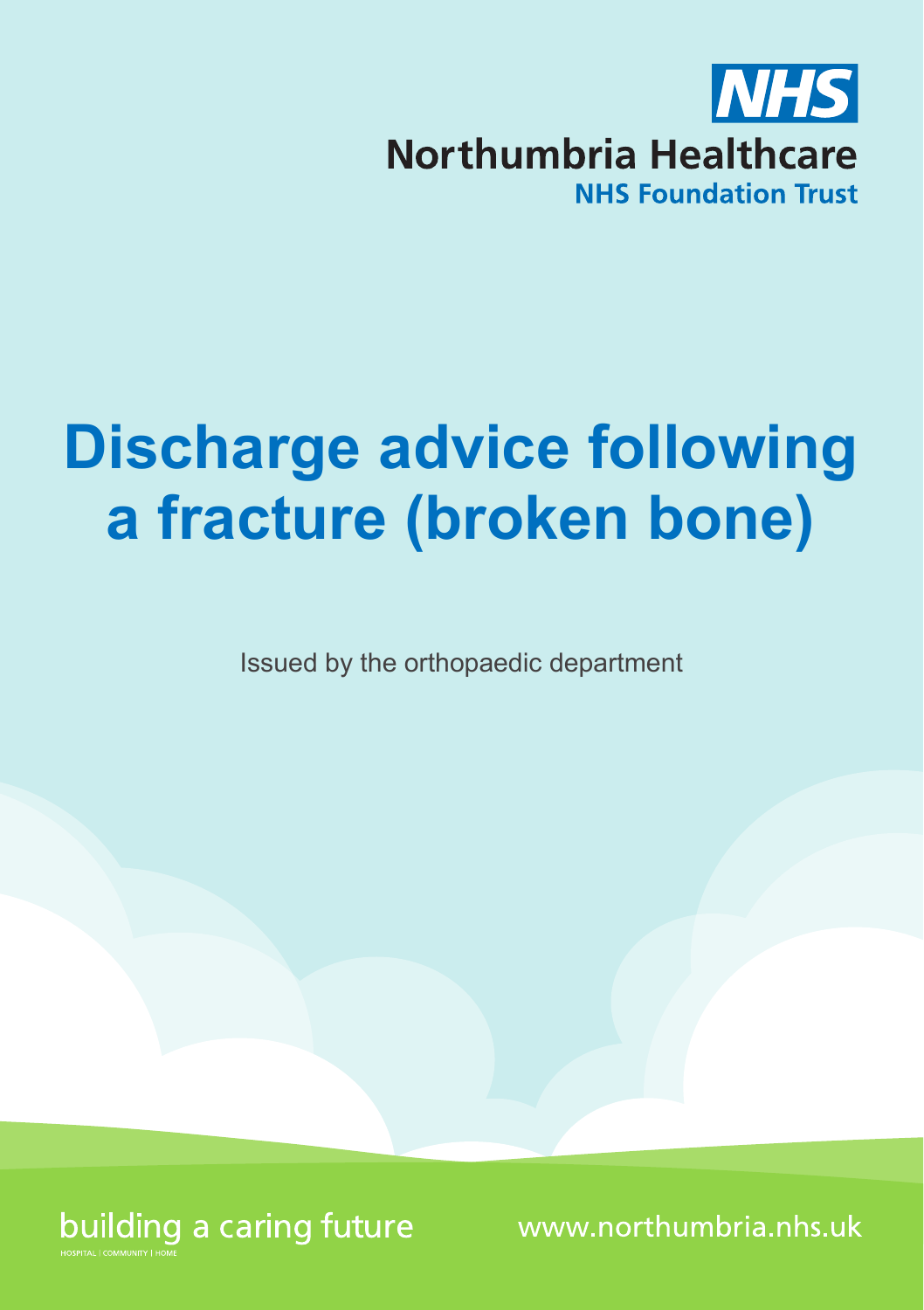

# **Discharge advice following a fracture (broken bone)**

Issued by the orthopaedic department



www.northumbria.nhs.uk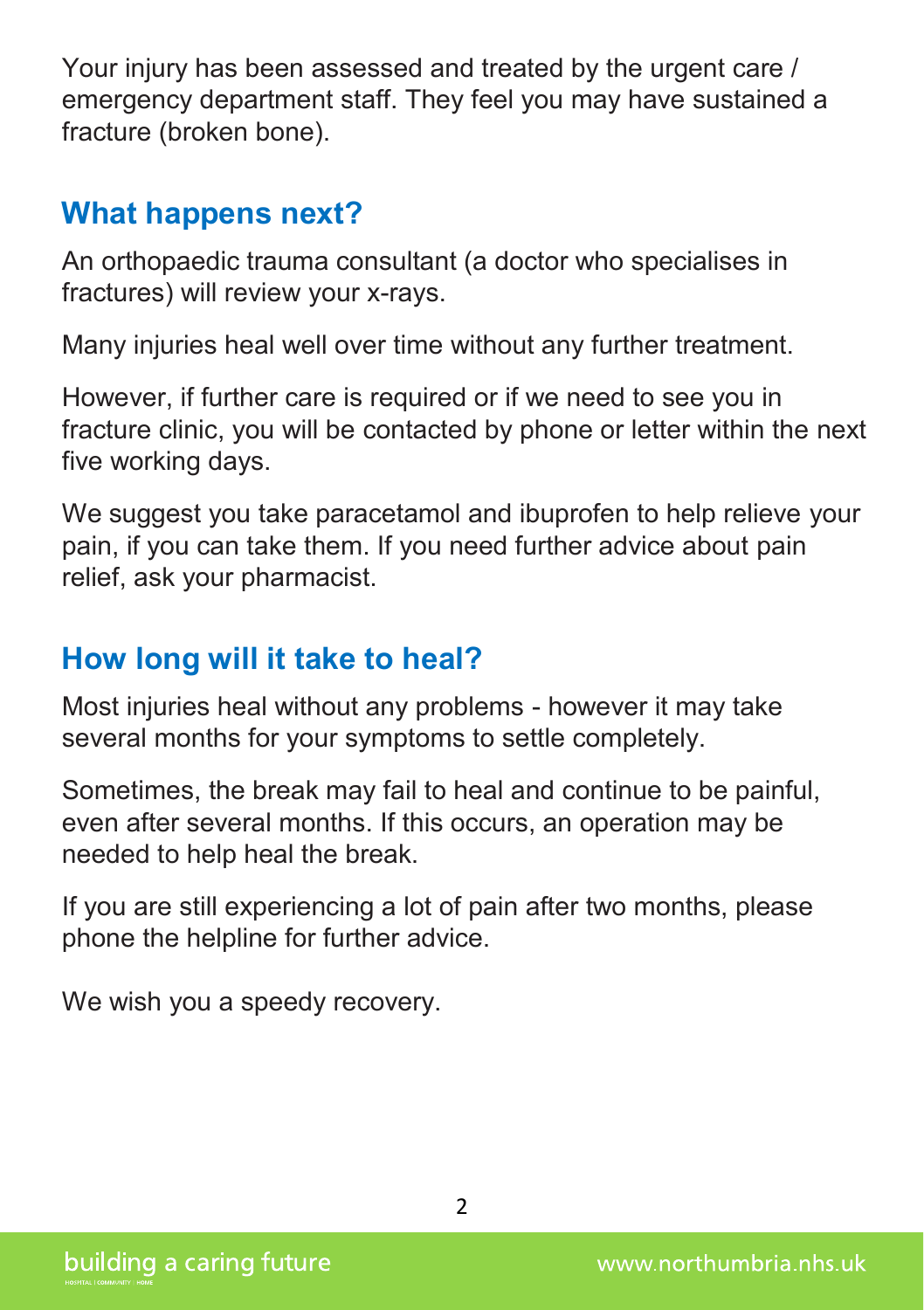Your injury has been assessed and treated by the urgent care / emergency department staff. They feel you may have sustained a fracture (broken bone).

# **What happens next?**

An orthopaedic trauma consultant (a doctor who specialises in fractures) will review your x-rays.

Many injuries heal well over time without any further treatment.

However, if further care is required or if we need to see you in fracture clinic, you will be contacted by phone or letter within the next five working days.

We suggest you take paracetamol and ibuprofen to help relieve your pain, if you can take them. If you need further advice about pain relief, ask your pharmacist.

# **How long will it take to heal?**

Most injuries heal without any problems - however it may take several months for your symptoms to settle completely.

Sometimes, the break may fail to heal and continue to be painful, even after several months. If this occurs, an operation may be needed to help heal the break.

If you are still experiencing a lot of pain after two months, please phone the helpline for further advice.

We wish you a speedy recovery.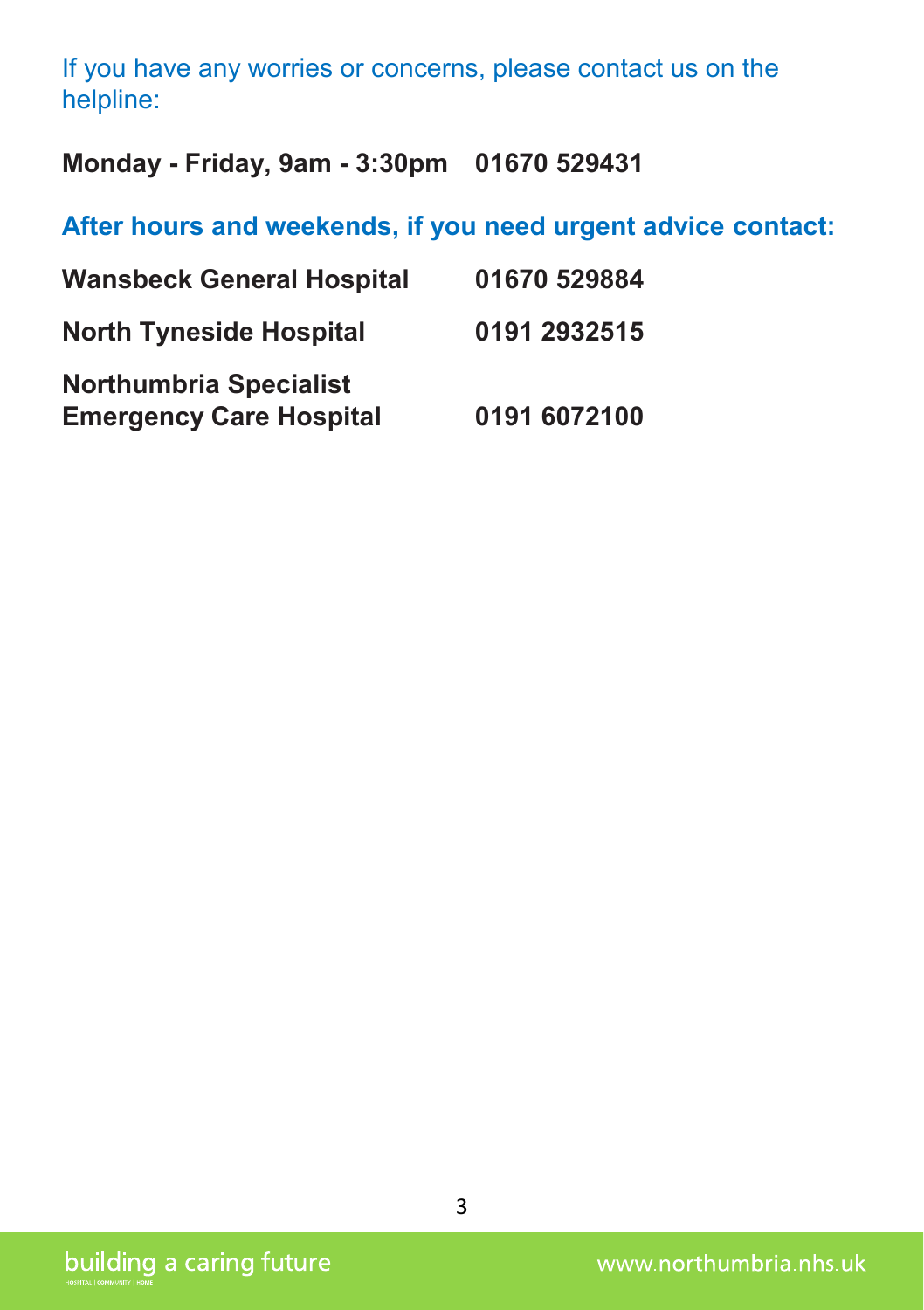#### If you have any worries or concerns, please contact us on the helpline:

**Monday - Friday, 9am - 3:30pm 01670 529431**

**After hours and weekends, if you need urgent advice contact:**

| <b>Wansbeck General Hospital</b>                                | 01670 529884 |
|-----------------------------------------------------------------|--------------|
| <b>North Tyneside Hospital</b>                                  | 0191 2932515 |
| <b>Northumbria Specialist</b><br><b>Emergency Care Hospital</b> | 0191 6072100 |